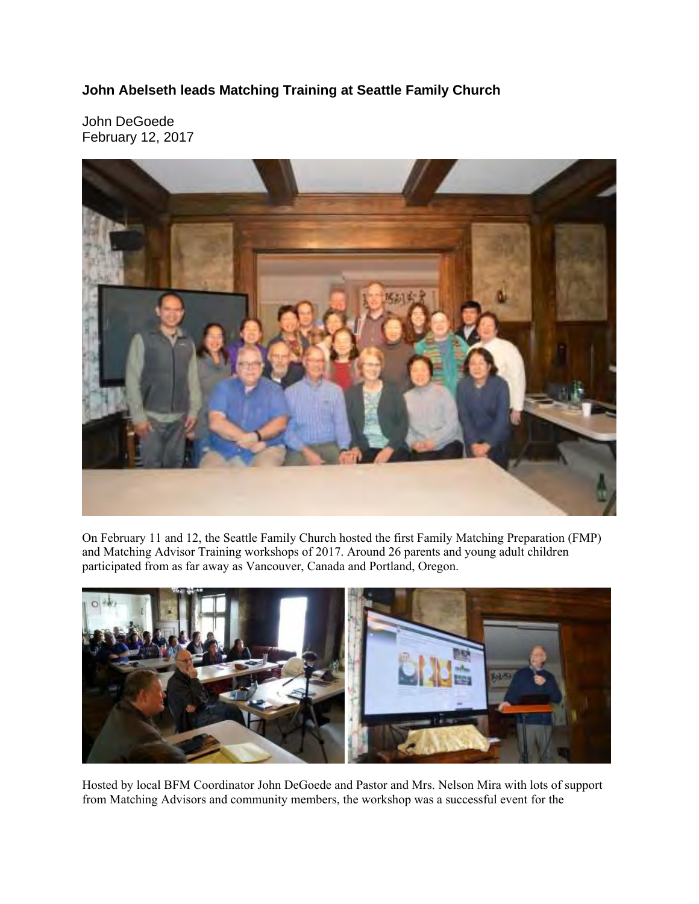## **John Abelseth leads Matching Training at Seattle Family Church**

John DeGoede February 12, 2017



On February 11 and 12, the Seattle Family Church hosted the first Family Matching Preparation (FMP) and Matching Advisor Training workshops of 2017. Around 26 parents and young adult children participated from as far away as Vancouver, Canada and Portland, Oregon.



Hosted by local BFM Coordinator John DeGoede and Pastor and Mrs. Nelson Mira with lots of support from Matching Advisors and community members, the workshop was a successful event for the